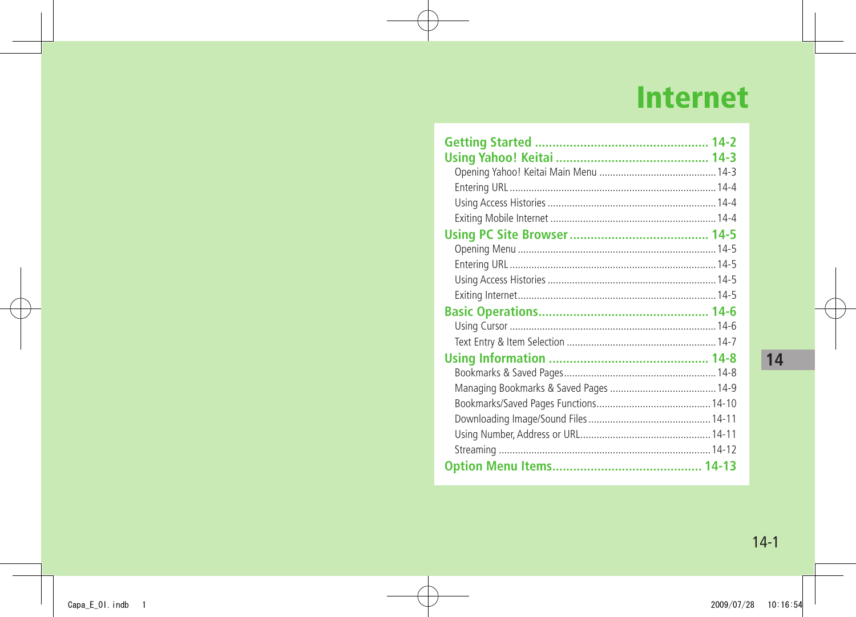# **Internet**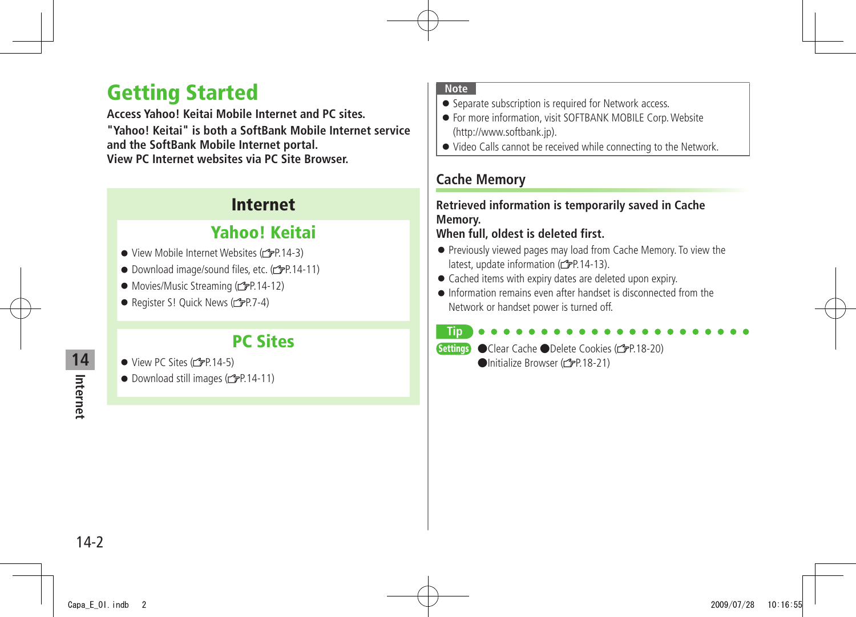## <span id="page-1-0"></span>**Getting Started**

**Access Yahoo! Keitai Mobile Internet and PC sites. "Yahoo! Keitai" is both a SoftBank Mobile Internet service and the SoftBank Mobile Internet portal. View PC Internet websites via PC Site Browser.**

### **Internet**

## **Yahoo! Keitai**

- $\bullet$  View Mobile Internet Websites ( $\rightarrow$ P.14-3)
- Download image/sound files, etc. (c P.14-11)
- Movies/Music Streaming  $(\mathcal{C}\mathbb{P}P.14-12)$
- Register S! Quick News  $(\mathcal{F}P.7-4)$

### **PC Sites**

- $\bullet$  View PC Sites ( $\leq$ P.14-5)
- $\bullet$  Download still images ( $\angle$  P.14-11)

#### **Note**

- Separate subscription is required for Network access.
- For more information, visit SOFTBANK MOBILE Corp. Website (http://www.softbank.jp).
- Video Calls cannot be received while connecting to the Network.

### **Cache Memory**

### **Retrieved information is temporarily saved in Cache Memory.**

### **When full, oldest is deleted first.**

- Previously viewed pages may load from Cache Memory. To view the latest, update information  $(r^2 \rightarrow P 14-13)$ .
- Cached items with expiry dates are deleted upon expiry.
- Information remains even after handset is disconnected from the Network or handset power is turned off.

#### **Tip**

**Settings** ● Clear Cache ● Delete Cookies (rep. 18-20) ●Initialize Browser (子P.18-21)

**Internet 14**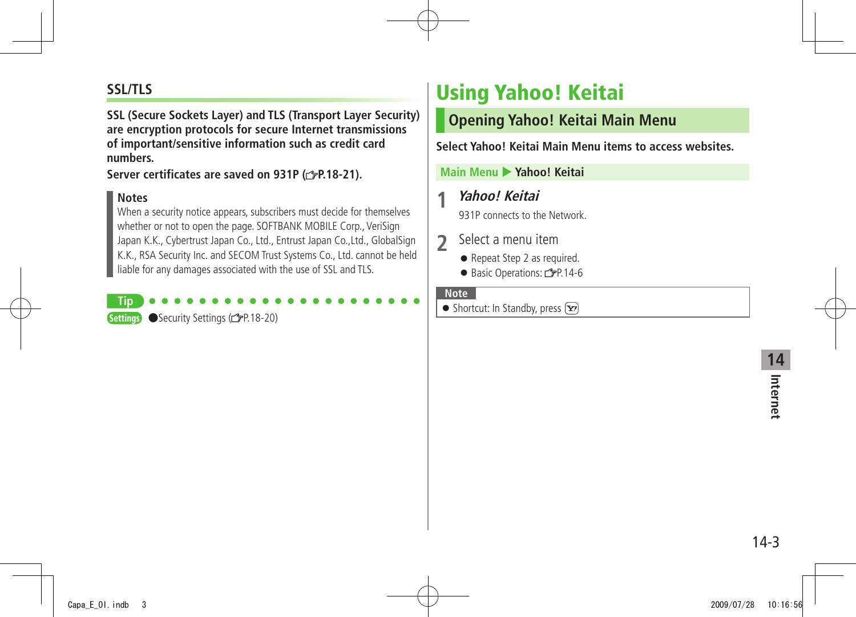### <span id="page-2-0"></span>**SSL/TLS**

**SSL (Secure Sockets Layer) and TLS (Transport Layer Security) are encryption protocols for secure Internet transmissions of important/sensitive information such as credit card numbers.**

**Server certificates are saved on 931P ( P.18-21).**

#### **Notes**

**Tip**

When a security notice appears, subscribers must decide for themselves whether or not to open the page. SOFTBANK MOBILE Corp., VeriSign Japan K.K., Cybertrust Japan Co., Ltd., Entrust Japan Co.,Ltd., GlobalSign K.K., RSA Security Inc. and SECOM Trust Systems Co., Ltd. cannot be held liable for any damages associated with the use of SSL and TLS.

**Settings** ● Security Settings (全P.18-20)

## **Using Yahoo! Keitai**

**Opening Yahoo! Keitai Main Menu**

**Select Yahoo! Keitai Main Menu items to access websites.**

**Main Menu** X **Yahoo! Keitai**

### **1 Yahoo! Keitai**

931P connects to the Network

- **2** Select a menu item
	- Repeat Step 2 as required.
	- Basic Operations: r<sup>-</sup> P.14-6

#### **Note**

• Shortcut: In Standby, press  $\boxed{\mathbf{x}}$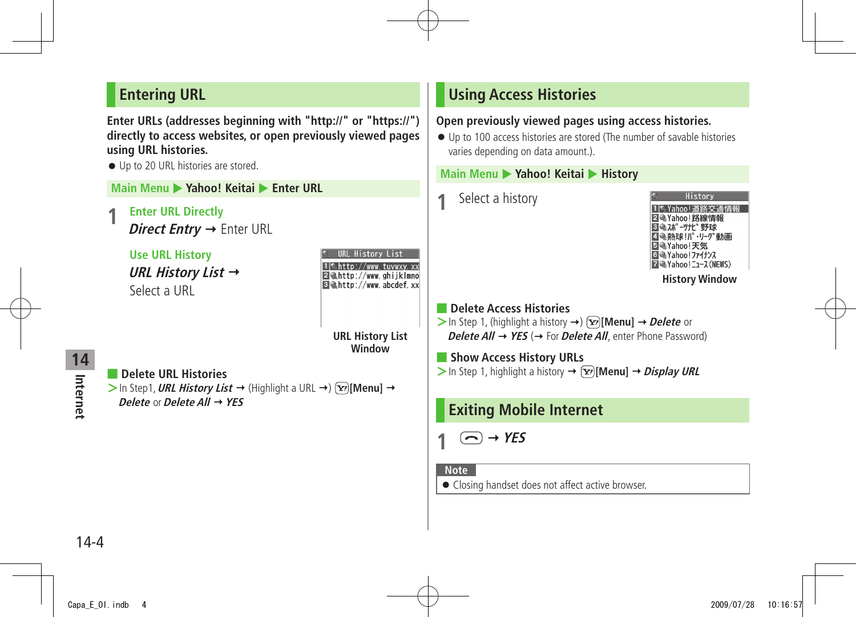### <span id="page-3-0"></span>**Entering URL**

**Enter URLs (addresses beginning with "http://" or "https://") directly to access websites, or open previously viewed pages using URL histories.**

● Up to 20 URL histories are stored.

| Main Menu > Yahoo! Keitai > Enter URL |  |  |  |  |
|---------------------------------------|--|--|--|--|
|---------------------------------------|--|--|--|--|

- **1 Enter URL Directly**
	- **Direct Entrv → Enter URL**

```
 Use URL History
URL History List  
Select a URL
```
**Internet 14**

■ **Delete URL Histories**  $>$  In Step1, **URL History List**  $\rightarrow$  (Highlight a URL  $\rightarrow$  )  $\boxed{\mathbf{x}}$  [Menu]  $\rightarrow$ **Delete** or **Delete All YES**

### **Using Access Histories**

### **Open previously viewed pages using access histories.**

● Up to 100 access histories are stored (The number of savable histories varies depending on data amount.).

### **Main Menu > Yahoo! Keitai > History**

**1** Select a history



```
History Window
```
#### ■ **Delete Access Histories**

- $>$  In Step 1, (highlight a history  $\rightarrow$  )  $\boxed{\mathbf{x}}$  [Menu]  $\rightarrow$  *Delete* or **Delete All → YES** (→ For **Delete All**, enter Phone Password)
- **Show Access History URLs**
- $>$  In Step 1, highlight a history  $\rightarrow$   $\overline{Y}$  [Menu]  $\rightarrow$  *Display URL*

### **Exiting Mobile Internet**

```
(
```
#### **Note**

**URL History List Window**

**URL History List** 

1 . http://www.tuvwxv.xx 図像http://www.ghiiklmno **Bahttp://www.abcdef.xxl** 

● Closing handset does not affect active browser.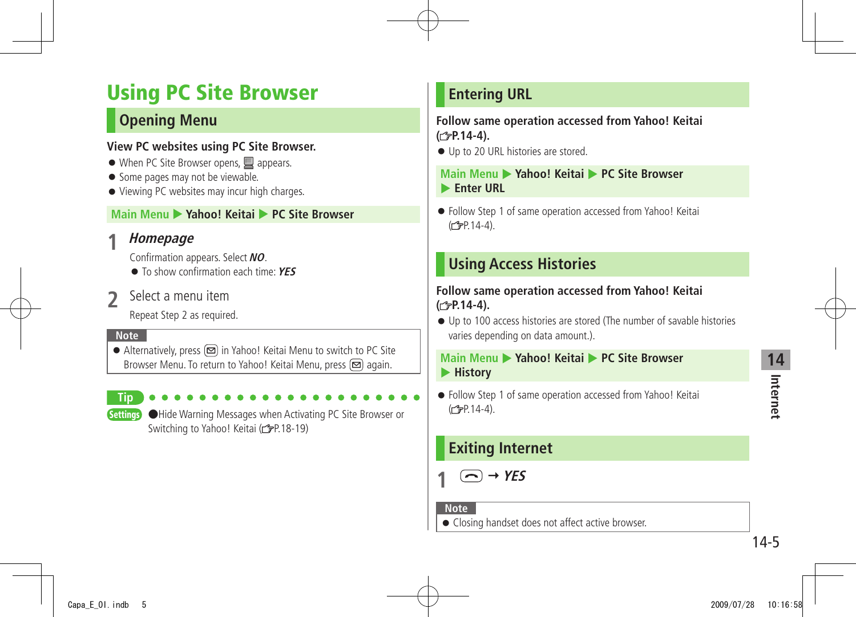## <span id="page-4-0"></span>**Using PC Site Browser**

### **Opening Menu**

#### **View PC websites using PC Site Browser.**

- When PC Site Browser opens, appears.
- Some pages may not be viewable.
- Viewing PC websites may incur high charges.

### **Main Menu > Yahoo! Keitai > PC Site Browser**

### **1 Homepage**

Confirmation appears. Select **NO**.

- To show confirmation each time: **YES**
- **2** Select a menu item

Repeat Step 2 as required.

#### **Note**

 $\bullet$  Alternatively, press  $\textcircled{\textbf{s}}$  in Yahoo! Keitai Menu to switch to PC Site Browser Menu. To return to Yahoo! Keitai Menu, press  $\circledR$  again.

**Tip**

Settings ●Hide Warning Messages when Activating PC Site Browser or Switching to Yahoo! Keitai (<a>P.18-19)</a>

### **Entering URL**

**Follow same operation accessed from Yahoo! Keitai ( P.14-4).**

● Up to 20 URL histories are stored.

**Main Menu > Yahoo! Keitai > PC Site Browser Enter URL** 

● Follow Step 1 of same operation accessed from Yahoo! Keitai  $(2P.14-4)$ .

### **Using Access Histories**

#### **Follow same operation accessed from Yahoo! Keitai ( P.14-4).**

● Up to 100 access histories are stored (The number of savable histories varies depending on data amount.).

#### **Main Menu > Yahoo! Keitai > PC Site Browser**  $\blacktriangleright$  **History**

● Follow Step 1 of same operation accessed from Yahoo! Keitai  $(\mathbb{Z}P.14-4)$ .

### **Exiting Internet**

 $(\neg)$  + YES

**Note**

● Closing handset does not affect active browser.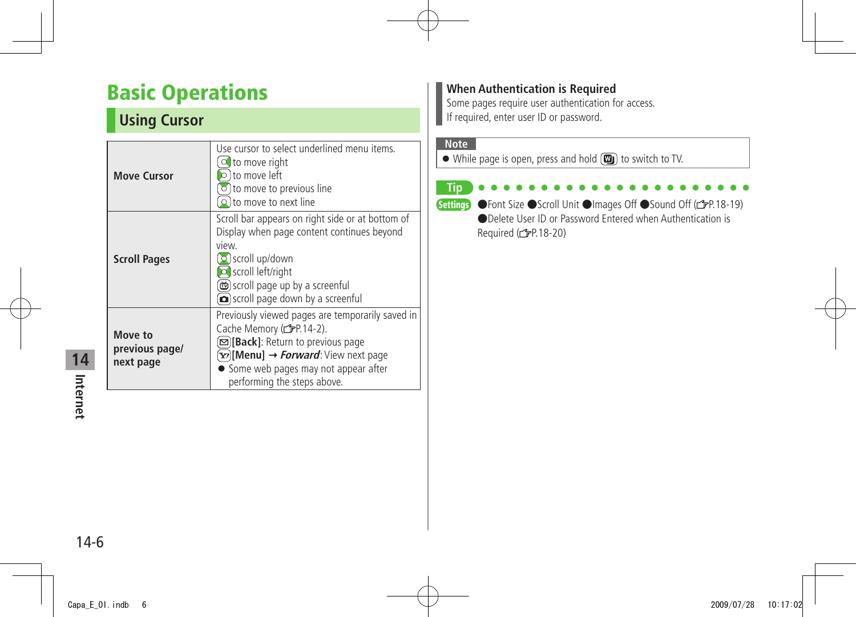## <span id="page-5-0"></span>**Basic Operations**

### **Using Cursor**

| <b>Move Cursor</b>                     | Use cursor to select underlined menu items.<br>$\circ$ to move right<br>to move left<br>to move to previous line<br>$\Omega$ to move to next line                                                                                       |
|----------------------------------------|-----------------------------------------------------------------------------------------------------------------------------------------------------------------------------------------------------------------------------------------|
| <b>Scroll Pages</b>                    | Scroll bar appears on right side or at bottom of<br>Display when page content continues beyond<br>view.<br>O scroll up/down<br><b>O</b> scroll left/right<br>scroll page up by a screenful<br>scroll page down by a screenful           |
| Move to<br>previous page/<br>next page | Previously viewed pages are temporarily saved in<br>Cache Memory (rep. 14-2).<br>S[Back]: Return to previous page<br>∑r) [Menu] → <i>Forward</i> : View next page<br>Some web pages may not appear after<br>performing the steps above. |

### **When Authentication is Required**

Some pages require user authentication for access. If required, enter user ID or password.

#### **Note**

 $\bullet$  While page is open, press and hold  $\circled{m}$  to switch to TV.

#### **Tip**

Settings ●Font Size ●Scroll Unit ●Images Off ●Sound Off ( P.18-19) ●Delete User ID or Password Entered when Authentication is Required (rep.18-20)

**Internet 14**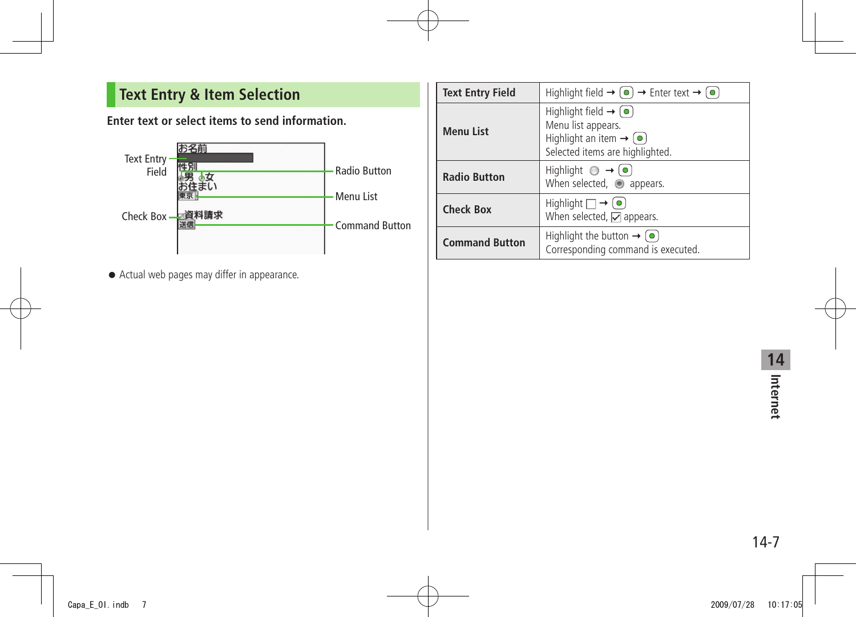### <span id="page-6-0"></span>**Text Entry & Item Selection**

**Enter text or select items to send information.**



● Actual web pages may differ in appearance.

| <b>Text Entry Field</b> | Highlight field $\rightarrow$ $\textcircled{\scriptsize{\bullet}}$ $\rightarrow$ Enter text $\rightarrow$ $\textcircled{\scriptsize{\bullet}}$         |
|-------------------------|--------------------------------------------------------------------------------------------------------------------------------------------------------|
| <b>Menu List</b>        | Highlight field $\rightarrow$ ( $\bullet$ )<br>Menu list appears.<br>Highlight an item $\rightarrow$ $\circledcirc$<br>Selected items are highlighted. |
| <b>Radio Button</b>     | Highlight $\bigcirc \rightarrow \circ$<br>When selected, appears.                                                                                      |
| <b>Check Box</b>        | Highlight $\square \rightarrow \textcircled{\bullet}$<br>When selected, $\Box$ appears.                                                                |
| <b>Command Button</b>   | Highlight the button $\rightarrow$ ( $\bullet$ )<br>Corresponding command is executed.                                                                 |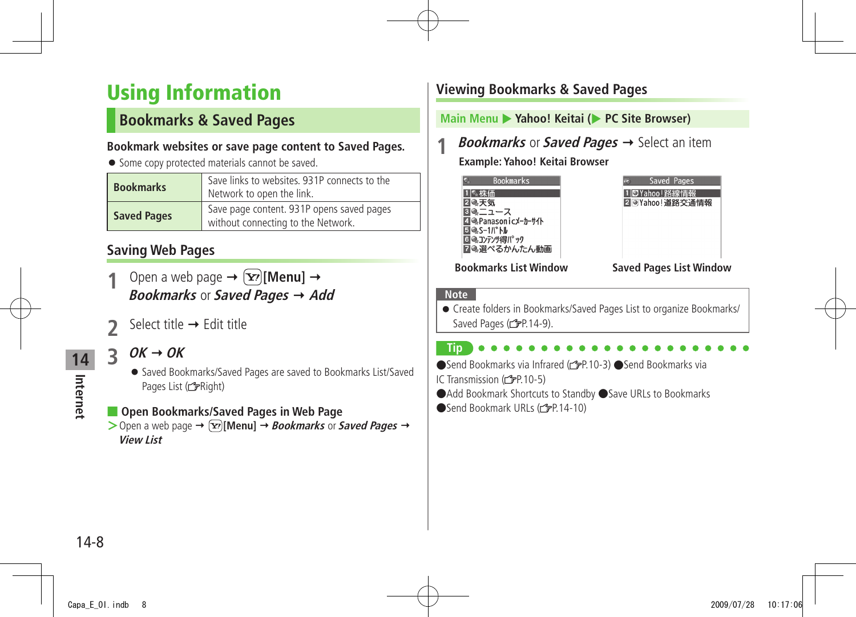## <span id="page-7-0"></span>**Using Information**

### **Bookmarks & Saved Pages**

### **Bookmark websites or save page content to Saved Pages.**

● Some copy protected materials cannot be saved.

| <b>Bookmarks</b>   | Save links to websites. 931P connects to the<br>Network to open the link.       |
|--------------------|---------------------------------------------------------------------------------|
| <b>Saved Pages</b> | Save page content. 931P opens saved pages<br>without connecting to the Network. |

### **Saving Web Pages**

- Open a web page  $\rightarrow$   $\left[\mathbf{\hat{x}}\right]$ [**Menu**]  $\rightarrow$ **Bookmarks** or **Saved Pages Add**
- Select title  $\rightarrow$  Edit title
	- $OK \rightarrow OK$
	- Saved Bookmarks/Saved Pages are saved to Bookmarks List/Saved Pages List ( FRight)

### **Open Bookmarks/Saved Pages in Web Page**

 $>$  Open a web page  $\rightarrow$   $\boxed{\mathbf{x}}$  [Menu]  $\rightarrow$  *Bookmarks* or *Saved Pages*  $\rightarrow$ **View List**

### **Viewing Bookmarks & Saved Pages**

**Main Menu > Yahoo! Keitai (> PC Site Browser)** 

*Bookmarks* or **Saved Pages**  $\rightarrow$  Select an item **Example: Yahoo! Keitai Browser**

| Bookmarks                    |
|------------------------------|
|                              |
| ≵天気                          |
| 图●二ュース<br>四●Panasonicメーカーサイト |
| @S-11\*M<br>54コンテンツ得パック      |
| ■●選べるかんたん動画                  |
|                              |



**Bookmarks List Window Saved Pages List Window**

#### **Note**

● Create folders in Bookmarks/Saved Pages List to organize Bookmarks/ Saved Pages (rep. 14-9).

#### **Tip**

●Send Bookmarks via Infrared (rep. 10-3) ●Send Bookmarks via IC Transmission  $(r^2P.10-5)$ 

- ●Add Bookmark Shortcuts to Standby ●Save URLs to Bookmarks
- ●Send Bookmark URLs ( P.14-10)

**14**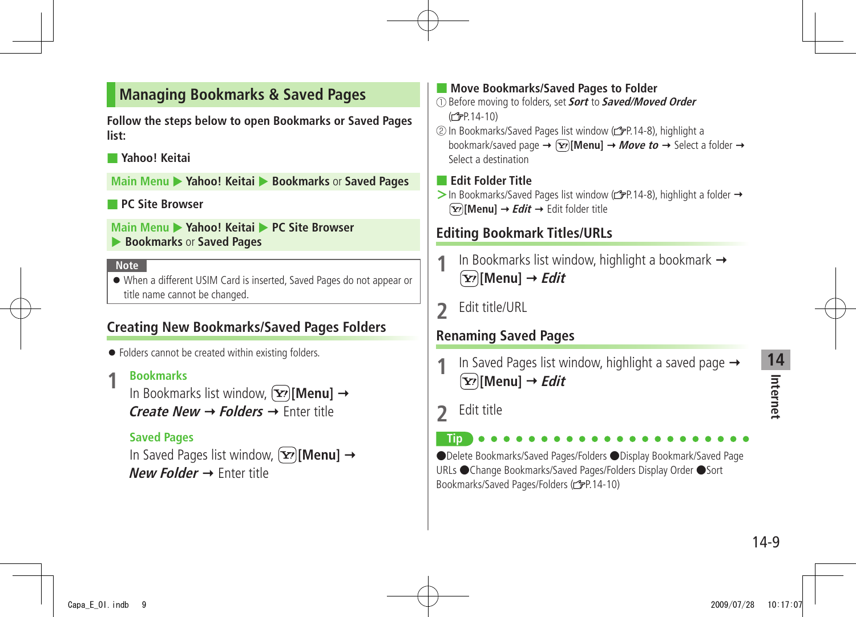### <span id="page-8-0"></span>**Managing Bookmarks & Saved Pages**

**Follow the steps below to open Bookmarks or Saved Pages list:**

#### ■ **Yahoo! Keitai**

**Main Menu > Yahoo! Keitai > Bookmarks** or **Saved Pages** 

### ■ **PC Site Browser**

**Main Menu • Yahoo! Keitai • PC Site Browser Bookmarks** or **Saved Pages** 

#### **Note**

● When a different USIM Card is inserted, Saved Pages do not appear or title name cannot be changed.

### **Creating New Bookmarks/Saved Pages Folders**

● Folders cannot be created within existing folders.

**1** Bookmarks<br>
In Bookmarks list window, ∑*[Menu]* → **Create New Folders** Enter title

### **Saved Pages**

In Saved Pages list window,  $\boxed{\mathbf{Y}}$  [Menu]  $\rightarrow$ **New Folder → Enter title** 

### ■ **Move Bookmarks/Saved Pages to Folder**

- ① Before moving to folders, set **Sort** to **Saved/Moved Order**  $(\mathbb{Z}P.14-10)$
- ② In Bookmarks/Saved Pages list window ( P.14-8), highlight a bookmark/saved page  $\rightarrow \overline{[Y]}$  [Menu]  $\rightarrow$  Move to  $\rightarrow$  Select a folder  $\rightarrow$ Select a destination

### ■ **Edit Folder Title**

> In Bookmarks/Saved Pages list window (c<sup>2</sup>P.14-8), highlight a folder →  $[\overline{\mathbf{x}}]$ **[Menu]**  $\rightarrow$  *Edit*  $\rightarrow$  Edit folder title

### **Editing Bookmark Titles/URLs**

- In Bookmarks list window, highlight a bookmark → **[Menu] Edit**
- **2** Edit title/URL

### **Renaming Saved Pages**

- In Saved Pages list window, highlight a saved page  $\rightarrow$  $\boxed{\mathbf{Y}}$  [Menu]  $\rightarrow$  *Edit*
- **2** Edit title

**Tip**

●Delete Bookmarks/Saved Pages/Folders ●Display Bookmark/Saved Page URLs ●Change Bookmarks/Saved Pages/Folders Display Order ●Sort Bookmarks/Saved Pages/Folders ( $\mathcal{P}$ P.14-10)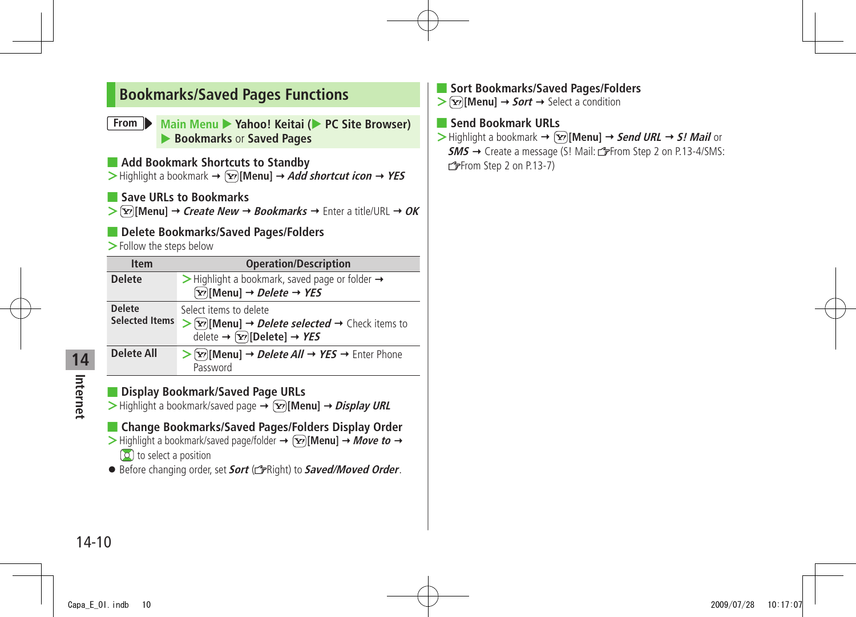### <span id="page-9-0"></span>**Bookmarks/Saved Pages Functions**

| From Main Menu > Yahoo! Keitai (> PC Site Browser) |
|----------------------------------------------------|
| Bookmarks or Saved Pages                           |

■ **Add Bookmark Shortcuts to Standby**

 $>$  Highlight a bookmark  $\rightarrow$   $\boxed{\mathbf{x}}$  [Menu]  $\rightarrow$  *Add shortcut icon*  $\rightarrow$  *YES* 

#### ■ **Save URLs to Bookmarks**

 $\triangleright$  **[x]** [Menu]  $\rightarrow$  *Create New*  $\rightarrow$  *Bookmarks*  $\rightarrow$  Enter a title/URL  $\rightarrow$  *OK* 

#### ■ **Delete Bookmarks/Saved Pages/Folders**

**>**Follow the steps below

| <b>Item</b>                            | <b>Operation/Description</b>                                                                                                                                                                                       |
|----------------------------------------|--------------------------------------------------------------------------------------------------------------------------------------------------------------------------------------------------------------------|
| <b>Delete</b>                          | $\triangleright$ Highlight a bookmark, saved page or folder $\rightarrow$<br>$\widehat{X}$ [Menu] $\rightarrow$ <i>Delete</i> $\rightarrow$ <i>YES</i>                                                             |
| <b>Delete</b><br><b>Selected Items</b> | Select items to delete<br>$\triangleright$ [ <b>Y</b> <sup>2</sup> ][Menu] $\rightarrow$ <i>Delete selected</i> $\rightarrow$ Check items to<br>delete $\rightarrow \boxed{\mathbf{Y}}$ [Delete] $\rightarrow$ YES |
| Delete All                             | > [xe][Menu] → Delete All → YES → Enter Phone<br>Password                                                                                                                                                          |

#### **Display Bookmark/Saved Page URLs**

 $>$  Highlight a bookmark/saved page  $\rightarrow \boxed{\infty}$  [Menu]  $\rightarrow$  *Display URL* 

### ■ **Change Bookmarks/Saved Pages/Folders Display Order**

- $>$  Highlight a bookmark/saved page/folder  $\rightarrow \boxed{\mathbf{x}}$  [Menu]  $\rightarrow$  Move to  $\rightarrow$  $\sigma$  to select a position
- Before changing order, set **Sort** (<del>○</del>Right) to **Saved/Moved Order**.

#### ■ **Sort Bookmarks/Saved Pages/Folders**

 $\triangleright$  **[x**<sup>2</sup>] **[Menu]**  $\rightarrow$  *Sort*  $\rightarrow$  Select a condition

#### ■ **Send Bookmark URLs**

 $>$  Highlight a bookmark  $\rightarrow \infty$  [Menu]  $\rightarrow$  **Send URL**  $\rightarrow$  **S! Mail** or

**SMS** → Create a message (S! Mail: from Step 2 on P.13-4/SMS: From Step 2 on P.13-7)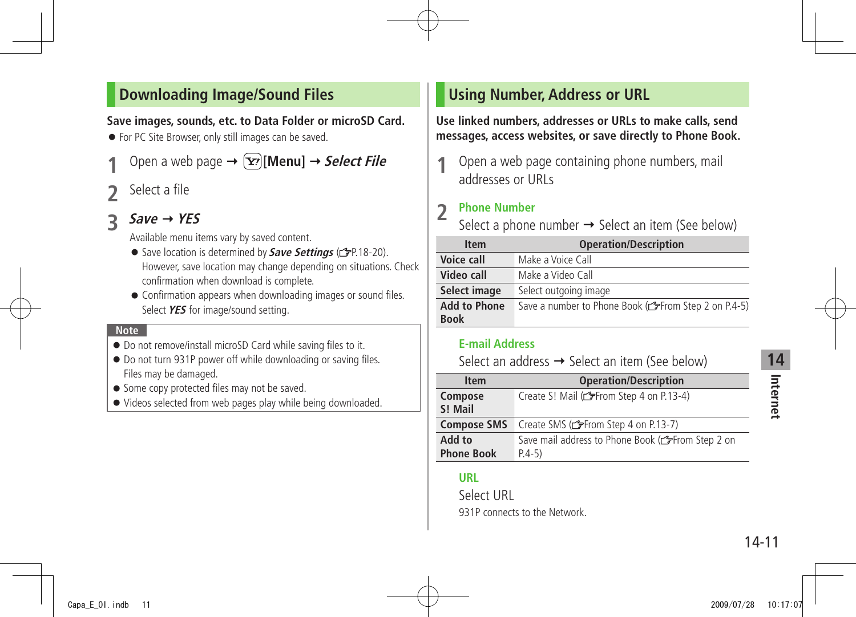### <span id="page-10-0"></span>**Downloading Image/Sound Files**

### **Save images, sounds, etc. to Data Folder or microSD Card.**

● For PC Site Browser, only still images can be saved.

- Open a web page  $\rightarrow$   $\overline{Y}$ [**Menu**]  $\rightarrow$  *Select File*
- **2** Select a file

### **3 Save YES**

Available menu items vary by saved content.

- Save location is determined by **Save Settings** (<del>○</del>P.18-20). However, save location may change depending on situations. Check confirmation when download is complete.
- Confirmation appears when downloading images or sound files. Select **YES** for image/sound setting.

### **Note**

- Do not remove/install microSD Card while saving files to it.
- Do not turn 931P power off while downloading or saving files. Files may be damaged.
- Some copy protected files may not be saved.
- Videos selected from web pages play while being downloaded.

### **Using Number, Address or URL**

**Use linked numbers, addresses or URLs to make calls, send messages, access websites, or save directly to Phone Book.**

**1** Open a web page containing phone numbers, mail addresses or URLs

### **2 Phone Number**

Select a phone number  $\rightarrow$  Select an item (See below)

| <b>Item</b>         | <b>Operation/Description</b>                         |
|---------------------|------------------------------------------------------|
| Voice call          | Make a Voice Call                                    |
| Video call          | Make a Video Call                                    |
| Select image        | Select outgoing image                                |
| <b>Add to Phone</b> | Save a number to Phone Book (CFFrom Step 2 on P.4-5) |
| <b>Book</b>         |                                                      |

#### **E-mail Address**

Select an address  $\rightarrow$  Select an item (See below)

| <b>Item</b>                 | <b>Operation/Description</b>                                  |
|-----------------------------|---------------------------------------------------------------|
| Compose<br>S! Mail          | Create S! Mail (read Step 4 on P.13-4)                        |
| <b>Compose SMS</b>          | Create SMS (reader Step 4 on P.13-7)                          |
| Add to<br><b>Phone Book</b> | Save mail address to Phone Book (CFFrom Step 2 on<br>$P.4-5)$ |
|                             |                                                               |

### **URL**

Select URL 931P connects to the Network.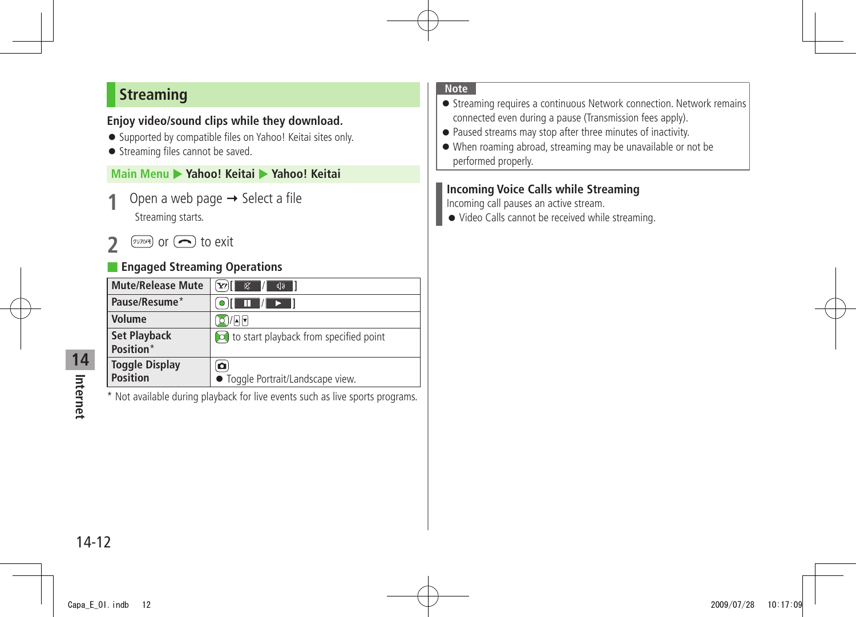### <span id="page-11-0"></span>**Streaming**

### **Enjoy video/sound clips while they download.**

- Supported by compatible files on Yahoo! Keitai sites only.
- Streaming files cannot be saved.

### **Main Menu** X **Yahoo! Keitai** X **Yahoo! Keitai**

- Open a web page  $\rightarrow$  Select a file Streaming starts.
- *<u><del><sub>2078</sub>x</del>* or  $\overline{\bullet}$  to exit</u>

### **Engaged Streaming Operations**

| <b>Mute/Release Mute</b>                 | $\mathbb{X}$ /<br>ا ان <del>د</del> )<br>$\mathbb{Q}$ |
|------------------------------------------|-------------------------------------------------------|
| Pause/Resume*                            | $\blacksquare$ $\blacksquare$<br>Ш                    |
| Volume                                   | $\frac{1}{2}$                                         |
| <b>Set Playback</b><br>Position*         | col to start playback from specified point            |
| <b>Toggle Display</b><br><b>Position</b> | o)<br>• Toggle Portrait/Landscape view.               |

\* Not available during playback for live events such as live sports programs.

#### **Note**

- Streaming requires a continuous Network connection. Network remains connected even during a pause (Transmission fees apply).
- Paused streams may stop after three minutes of inactivity.
- When roaming abroad, streaming may be unavailable or not be performed properly.

### **Incoming Voice Calls while Streaming**

Incoming call pauses an active stream.

● Video Calls cannot be received while streaming.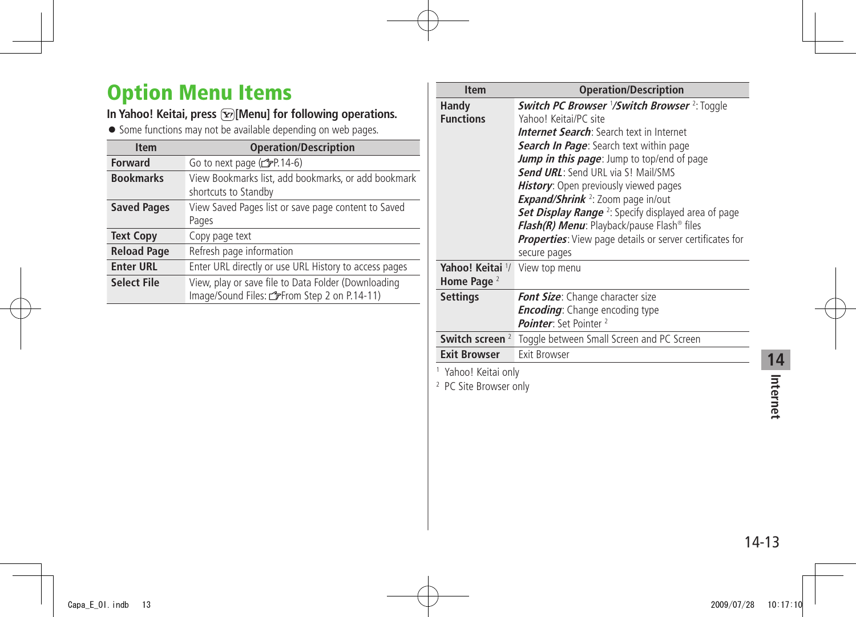## <span id="page-12-0"></span>**Option Menu Items**

### In Yahoo! Keitai, press  $\textcircled{\tiny{\textbf{w}}}$  [Menu] for following operations.

● Some functions may not be available depending on web pages.

| <b>Item</b>        | <b>Operation/Description</b>                                                                              |
|--------------------|-----------------------------------------------------------------------------------------------------------|
| <b>Forward</b>     | Go to next page (rep. 14-6)                                                                               |
| <b>Bookmarks</b>   | View Bookmarks list, add bookmarks, or add bookmark<br>shortcuts to Standby                               |
| <b>Saved Pages</b> | View Saved Pages list or save page content to Saved<br>Pages                                              |
| <b>Text Copy</b>   | Copy page text                                                                                            |
| <b>Reload Page</b> | Refresh page information                                                                                  |
| <b>Enter URL</b>   | Enter URL directly or use URL History to access pages                                                     |
| <b>Select File</b> | View, play or save file to Data Folder (Downloading<br>Image/Sound Files: <a>From Step 2 on P.14-11</a> ) |

| <b>Item</b>                       | <b>Operation/Description</b>                                           |
|-----------------------------------|------------------------------------------------------------------------|
| Handy                             | <b>Switch PC Browser '/Switch Browser 2: Toggle</b>                    |
| <b>Functions</b>                  | Yahoo! Keitai/PC site                                                  |
|                                   | <b>Internet Search</b> : Search text in Internet                       |
|                                   | <b>Search In Page:</b> Search text within page                         |
|                                   | Jump in this page: Jump to top/end of page                             |
|                                   | <b>Send URL:</b> Send URL via SL Mail/SMS                              |
|                                   | <b>History:</b> Open previously viewed pages                           |
|                                   | <b>Expand/Shrink</b> <sup>2</sup> : Zoom page in/out                   |
|                                   | <b>Set Display Range</b> <sup>2</sup> : Specify displayed area of page |
|                                   | Flash(R) Menu: Playback/pause Flash® files                             |
|                                   | <b>Properties:</b> View page details or server certificates for        |
|                                   | secure pages                                                           |
| Yahoo! Keitai 1/                  | View top menu                                                          |
| Home Page <sup>2</sup>            |                                                                        |
| <b>Settings</b>                   | <b>Font Size:</b> Change character size                                |
|                                   | <b>Encoding:</b> Change encoding type                                  |
|                                   | <b>Pointer:</b> Set Pointer <sup>2</sup>                               |
| Switch screen <sup>2</sup>        | Toggle between Small Screen and PC Screen                              |
| <b>Exit Browser</b>               | Exit Browser                                                           |
| <sup>1</sup> Yahoo! Keitai only   |                                                                        |
| <sup>2</sup> PC Site Rrowser only |                                                                        |

PC Site Browser only